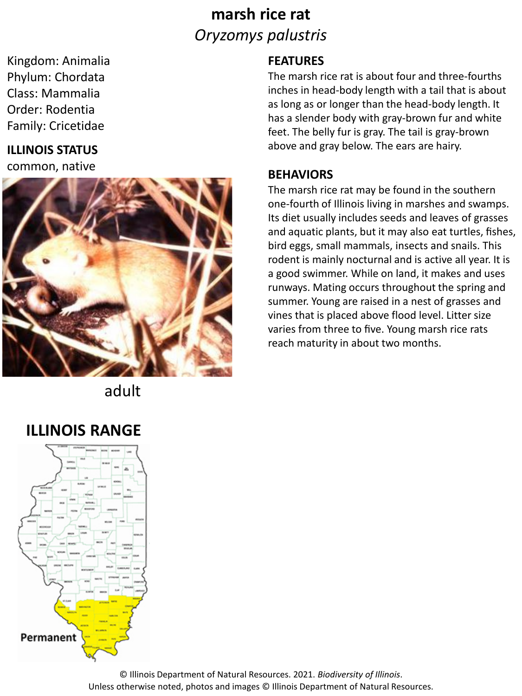# **marsh rice rat** *Oryzomys palustris*

Kingdom: Animalia Phylum: Chordata Class: Mammalia Order: Rodentia Family: Cricetidae

### **ILLINOIS STATUS**

common, native



adult

## **ILLINOIS RANGE**



### **FEATURES**

The marsh rice rat is about four and three-fourths inches in head-body length with a tail that is about as long as or longer than the head-body length. It has a slender body with gray-brown fur and white feet. The belly fur is gray. The tail is gray-brown above and gray below. The ears are hairy.

#### **BEHAVIORS**

The marsh rice rat may be found in the southern one-fourth of Illinois living in marshes and swamps. Its diet usually includes seeds and leaves of grasses and aquatic plants, but it may also eat turtles, fishes, bird eggs, small mammals, insects and snails. This rodent is mainly nocturnal and is active all year. It is a good swimmer. While on land, it makes and uses runways. Mating occurs throughout the spring and summer. Young are raised in a nest of grasses and vines that is placed above flood level. Litter size varies from three to five. Young marsh rice rats reach maturity in about two months.

© Illinois Department of Natural Resources. 2021. *Biodiversity of Illinois*. Unless otherwise noted, photos and images © Illinois Department of Natural Resources.